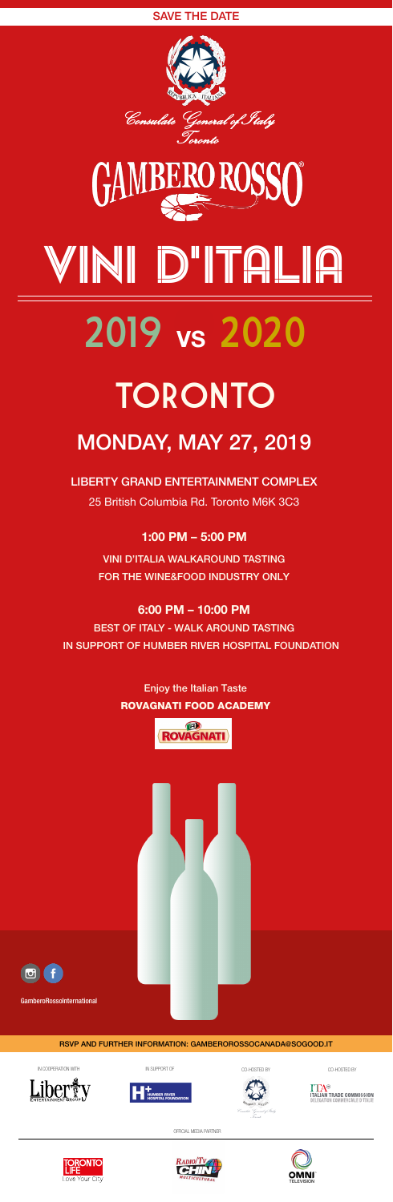

# Vini d'italia

# 2019 VS 2020





TORONTO MONDAY, MAY 27, 2019

LIBERTY GRAND ENTERTAINMENT COMPLEX 25 British Columbia Rd. Toronto M6K 3C3

# 1:00 PM – 5:00 PM

VINI D'ITALIA WALKAROUND TASTING FOR THE WINE&FOOD INDUSTRY ONLY

# 6:00 PM – 10:00 PM

BEST OF ITALY - WALK AROUND TASTING IN SUPPORT OF HUMBER RIVER HOSPITAL FOUNDATION

> Enjoy the Italian Taste ROVAGNATI FOOD ACADEMY





# RSVP AND FURTHER INFORMATION: GAMBEROROSSOCANADA@SOGOOD.IT









# SAVE THE DATE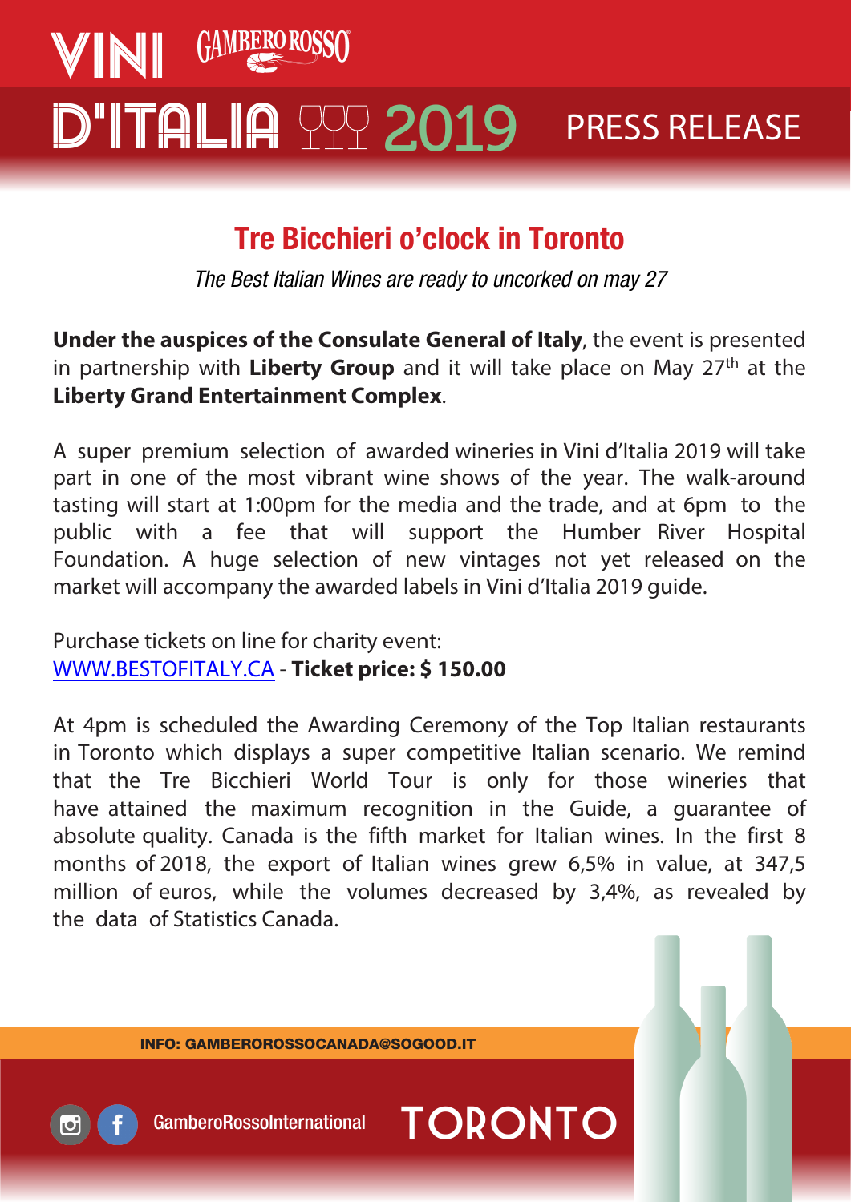

# Tre Bicchieri o'clock in Toronto

The Best Italian Wines are ready to uncorked on may 27

**Under the auspices of the Consulate General of Italy**, the event is presented in partnership with **Liberty Group** and it will take place on May 27th at the **Liberty Grand Entertainment Complex**.

A super premium selection of awarded wineries in Vini d'Italia 2019 will take part in one of the most vibrant wine shows of the year. The walk-around tasting will start at 1:00pm for the media and the trade, and at 6pm to the public with a fee that will support the Humber River Hospital Foundation. A huge selection of new vintages not yet released on the market will accompany the awarded labels in Vini d'Italia 2019 guide.

Purchase tickets on line for charity event: [WWW.BESTOFITALY.CA](Under the auspices of the Consulate General of Italy, the event is presented in partnership with Liberty Group and it will take place on May 27th  at the Liberty Grand Entertainment Complex) - **Ticket price: \$ 150.00**

At 4pm is scheduled the Awarding Ceremony of the Top Italian restaurants in Toronto which displays a super competitive Italian scenario. We remind that the Tre Bicchieri World Tour is only for those wineries that have attained the maximum recognition in the Guide, a guarantee of absolute quality. Canada is the fifth market for Italian wines. In the first 8 months of 2018, the export of Italian wines grew 6,5% in value, at 347,5 million of euros, while the volumes decreased by 3,4%, as revealed by the data of Statistics Canada.

INFO: GAMBEROROSSOCANADA@SOGOOD.IT

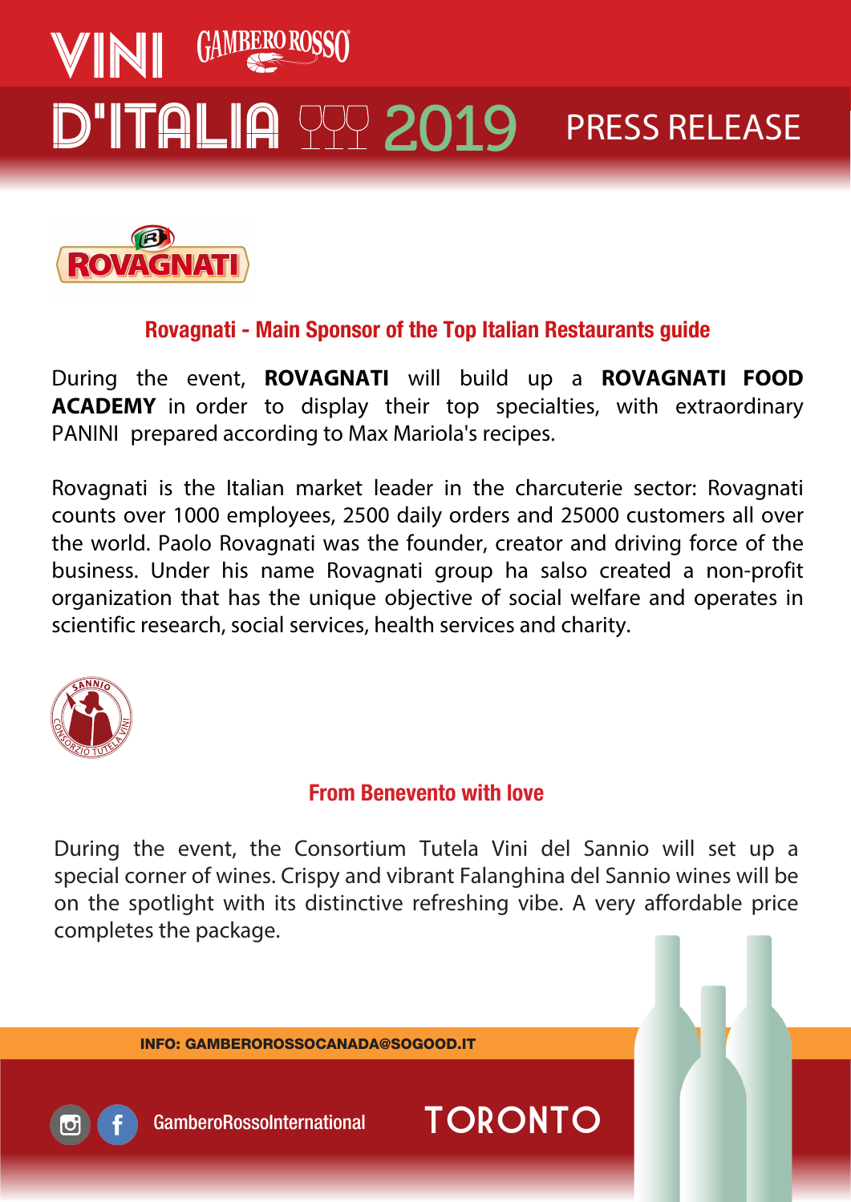



# Rovagnati - Main Sponsor of the Top Italian Restaurants guide

During the event, **ROVAGNATI** will build up a **ROVAGNATI FOOD ACADEMY** in order to display their top specialties, with extraordinary PANINI prepared according to Max Mariola's recipes.

Rovagnati is the Italian market leader in the charcuterie sector: Rovagnati counts over 1000 employees, 2500 daily orders and 25000 customers all over the world. Paolo Rovagnati was the founder, creator and driving force of the business. Under his name Rovagnati group ha salso created a non-profit organization that has the unique objective of social welfare and operates in scientific research, social services, health services and charity.



# From Benevento with love

During the event, the Consortium Tutela Vini del Sannio will set up a special corner of wines. Crispy and vibrant Falanghina del Sannio wines will be on the spotlight with its distinctive refreshing vibe. A very affordable price completes the package.

INFO: GAMBEROROSSOCANADA@SOGOOD.IT

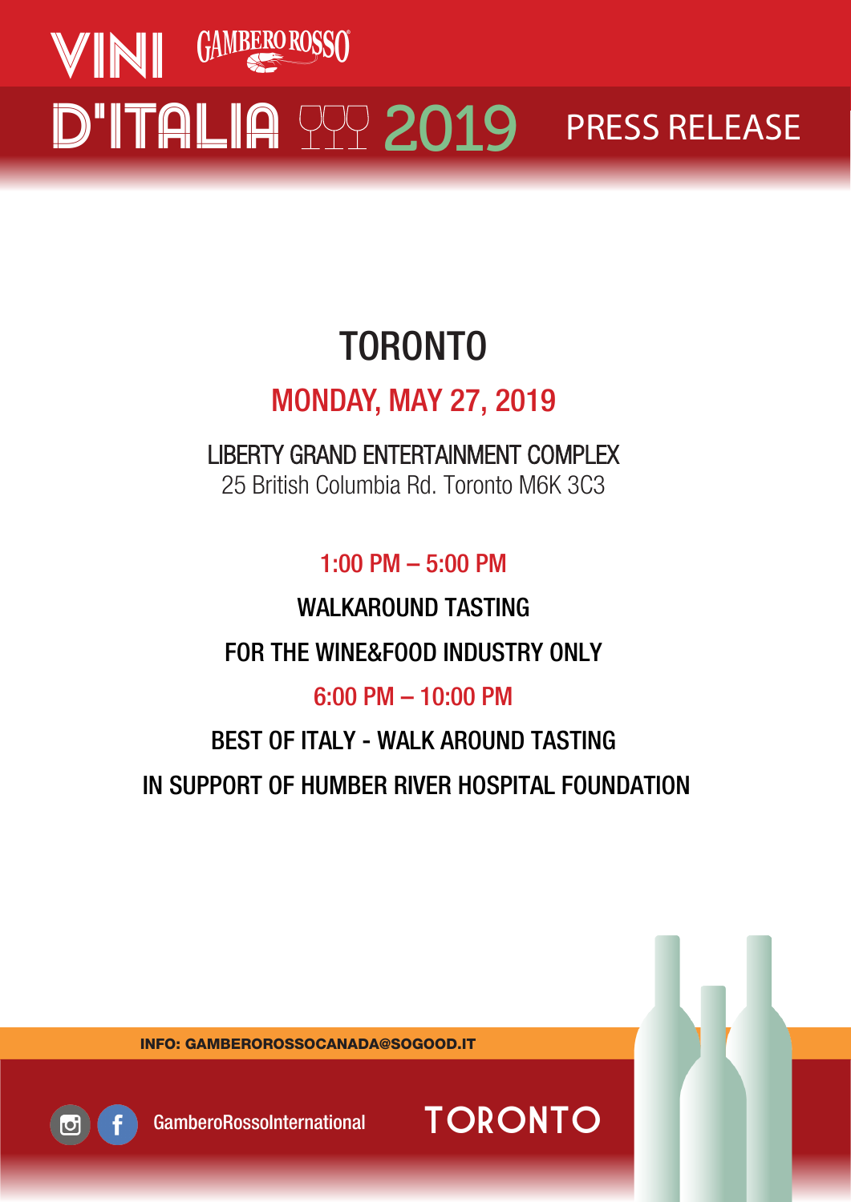

# TORONTO

# MONDAY, MAY 27, 2019

LIBERTY GRAND ENTERTAINMENT COMPLEX 25 British Columbia Rd. Toronto M6K 3C3

1:00 PM – 5:00 PM

WALKAROUND TASTING

FOR THE WINE&FOOD INDUSTRY ONLY

6:00 PM – 10:00 PM

# BEST OF ITALY - WALK AROUND TASTING IN SUPPORT OF HUMBER RIVER HOSPITAL FOUNDATION

INFO: GAMBEROROSSOCANADA@SOGOOD.IT



GamberoRossoInternational TORONTO